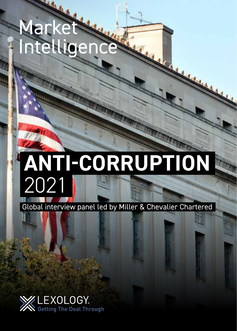# Market

# **ANTI-CORRUPTION** 2021

Global interview panel led by Miller & Chevalier Chartered

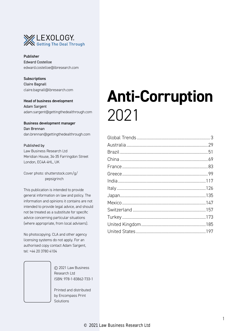

Publisher **Edward Costelloe** edward costelloe@Ibresearch.com

Subscriptions **Claire Bagnall** claire.bagnall@lbresearch.com

Head of business development **Adam Sargent** adam.sargent@gettingthedealthrough.com

**Business development manager** Dan Brennan dan.brennan@gettingthedealthrough.com

#### Published by

Law Business Research Ltd Meridian House, 34-35 Farringdon Street London, EC4A 4HL, UK

Cover photo: shutterstock.com/g/ pepsigrinch

This publication is intended to provide general information on law and policy. The information and opinions it contains are not intended to provide legal advice, and should not be treated as a substitute for specific advice concerning particular situations (where appropriate, from local advisers).

No photocopying. CLA and other agency licensing systems do not apply. For an authorised copy contact Adam Sargent, tel: +44 20 3780 4104

> C 2021 Law Business Research I td ISBN: 978-1-83862-733-1

Printed and distributed by Encompass Print Solutions

## **Anti-Corruption** 2021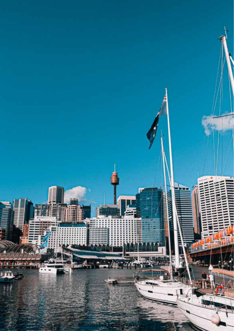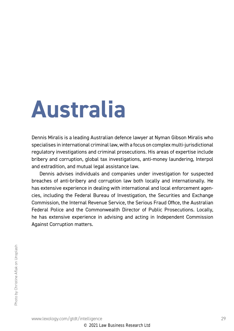## **Australia**

Dennis Miralis is a leading Australian defence lawyer at Nyman Gibson Miralis who specialises in international criminal law, with a focus on complex multi-jurisdictional regulatory investigations and criminal prosecutions. His areas of expertise include bribery and corruption, global tax investigations, anti-money laundering, Interpol and extradition, and mutual legal assistance law.

Dennis advises individuals and companies under investigation for suspected breaches of anti-bribery and corruption law both locally and internationally. He has extensive experience in dealing with international and local enforcement agencies, including the Federal Bureau of Investigation, the Securities and Exchange Commission, the Internal Revenue Service, the Serious Fraud Office, the Australian Federal Police and the Commonwealth Director of Public Prosecutions. Locally, he has extensive experience in advising and acting in Independent Commission Against Corruption matters.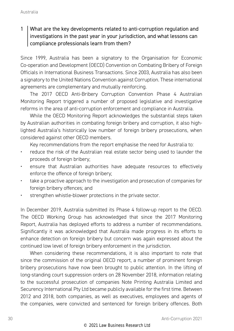#### 1 What are the key developments related to anti-corruption regulation and  $\mid$  investigations in the past vear in your jurisdiction, and what lessons can compliance professionals learn from them?

Since 1999, Australia has been a signatory to the Organisation for Economic Co-operation and Development (OECD) Convention on Combating Bribery of Foreign Officials in International Business Transactions. Since 2003, Australia has also been a signatory to the United Nations Convention against Corruption. These international agreements are complementary and mutually reinforcing.

The 2017 OECD Anti-Bribery Corruption Convention Phase 4 Australian Monitoring Report triggered a number of proposed legislative and investigative reforms in the area of anti-corruption enforcement and compliance in Australia.

While the OECD Monitoring Report acknowledges the substantial steps taken by Australian authorities in combating foreign bribery and corruption, it also highlighted Australia's historically low number of foreign bribery prosecutions, when considered against other OECD members.

Key recommendations from the report emphasise the need for Australia to:

- reduce the risk of the Australian real estate sector being used to launder the proceeds of foreign bribery;
- ensure that Australian authorities have adequate resources to effectively enforce the offence of foreign bribery;
- take a proactive approach to the investigation and prosecution of companies for foreign bribery offences; and
- strengthen whistle-blower protections in the private sector.

In December 2019, Australia submitted its Phase 4 follow-up report to the OECD. The OECD Working Group has acknowledged that since the 2017 Monitoring Report, Australia has deployed efforts to address a number of recommendations. Significantly it was acknowledged that Australia made progress in its efforts to enhance detection on foreign bribery but concern was again expressed about the continued low level of foreign bribery enforcement in the jurisdiction.

When considering these recommendations, it is also important to note that since the commission of the original OECD report, a number of prominent foreign bribery prosecutions have now been brought to public attention. In the lifting of long-standing court suppression orders on 28 November 2018, information relating to the successful prosecution of companies Note Printing Australia Limited and Securency International Pty Ltd became publicly available for the first time. Between 2012 and 2018, both companies, as well as executives, employees and agents of the companies, were convicted and sentenced for foreign bribery offences. Both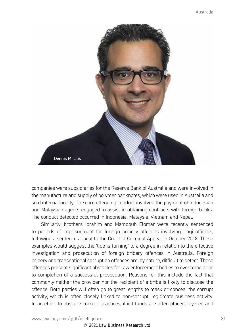

companies were subsidiaries for the Reserve Bank of Australia and were involved in the manufacture and supply of polymer banknotes, which were used in Australia and sold internationally. The core offending conduct involved the payment of Indonesian and Malaysian agents engaged to assist in obtaining contracts with foreign banks. The conduct detected occurred in Indonesia, Malaysia, Vietnam and Nepal.

Similarly, brothers Ibrahim and Mamdouh Elomar were recently sentenced to periods of imprisonment for foreign bribery offences involving Iraqi officials, following a sentence appeal to the Court of Criminal Appeal in October 2018. These examples would suggest the 'tide is turning' to a degree in relation to the effective investigation and prosecution of foreign bribery offences in Australia. Foreign bribery and transnational corruption offences are, by nature, difficult to detect. These offences present significant obstacles for law enforcement bodies to overcome prior to completion of a successful prosecution. Reasons for this include the fact that commonly neither the provider nor the recipient of a bribe is likely to disclose the offence. Both parties will often go to great lengths to mask or conceal the corrupt activity, which is often closely linked to non-corrupt, legitimate business activity. In an effort to obscure corrupt practices, illicit funds are often placed, layered and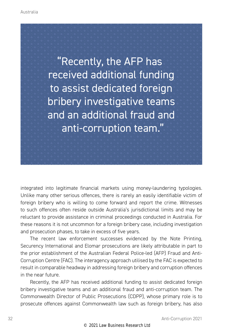"Recently, the AFP has received additional funding to assist dedicated foreign bribery investigative teams and an additional fraud and anti-corruption team."

integrated into legitimate financial markets using money-laundering typologies. Unlike many other serious offences, there is rarely an easily identifiable victim of foreign bribery who is willing to come forward and report the crime. Witnesses to such offences often reside outside Australia's jurisdictional limits and may be reluctant to provide assistance in criminal proceedings conducted in Australia. For these reasons it is not uncommon for a foreign bribery case, including investigation and prosecution phases, to take in excess of five years.

The recent law enforcement successes evidenced by the Note Printing, Securency International and Elomar prosecutions are likely attributable in part to the prior establishment of the Australian Federal Police-led (AFP) Fraud and Anti-Corruption Centre (FAC). The interagency approach utilised by the FAC is expected to result in comparable headway in addressing foreign bribery and corruption offences in the near future.

Recently, the AFP has received additional funding to assist dedicated foreign bribery investigative teams and an additional fraud and anti-corruption team. The Commonwealth Director of Public Prosecutions (CDPP), whose primary role is to prosecute offences against Commonwealth law such as foreign bribery, has also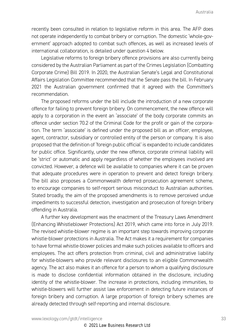recently been consulted in relation to legislative reform in this area. The AFP does not operate independently to combat bribery or corruption. The domestic 'whole-government' approach adopted to combat such offences, as well as increased levels of international collaboration, is detailed under question 4 below.

Legislative reforms to foreign bribery offence provisions are also currently being considered by the Australian Parliament as part of the Crimes Legislation (Combatting Corporate Crime) Bill 2019. In 2020, the Australian Senate's Legal and Constitutional Affairs Legislation Committee recommended that the Senate pass the bill. In February 2021 the Australian government confirmed that it agreed with the Committee's recommendation.

The proposed reforms under the bill include the introduction of a new corporate offence for failing to prevent foreign bribery. On commencement, the new offence will apply to a corporation in the event an 'associate' of the body corporate commits an offence under section 70.2 of the Criminal Code for the profit or gain of the corporation. The term 'associate' is defined under the proposed bill as an officer, employee, agent, contractor, subsidiary or controlled entity of the person or company. It is also proposed that the definition of 'foreign public official' is expanded to include candidates for public office. Significantly, under the new offence, corporate criminal liability will be 'strict' or automatic and apply regardless of whether the employees involved are convicted. However, a defence will be available to companies where it can be proven that adequate procedures were in operation to prevent and detect foreign bribery. The bill also proposes a Commonwealth deferred prosecution agreement scheme, to encourage companies to self-report serious misconduct to Australian authorities. Stated broadly, the aim of the proposed amendments is to remove perceived undue impediments to successful detection, investigation and prosecution of foreign bribery offending in Australia.

A further key development was the enactment of the Treasury Laws Amendment (Enhancing Whistleblower Protections) Act 2019, which came into force in July 2019. The revised whistle-blower regime is an important step towards improving corporate whistle-blower protections in Australia. The Act makes it a requirement for companies to have formal whistle-blower policies and make such policies available to officers and employees. The act offers protection from criminal, civil and administrative liability for whistle-blowers who provide relevant disclosures to an eligible Commonwealth agency. The act also makes it an offence for a person to whom a qualifying disclosure is made to disclose confidential information obtained in the disclosure, including identity of the whistle-blower. The increase in protections, including immunities, to whistle-blowers will further assist law enforcement in detecting future instances of foreign bribery and corruption. A large proportion of foreign bribery schemes are already detected through self-reporting and internal disclosure.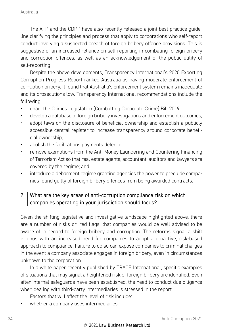The AFP and the CDPP have also recently released a joint best practice guideline clarifying the principles and process that apply to corporations who self-report conduct involving a suspected breach of foreign bribery offence provisions. This is suggestive of an increased reliance on self-reporting in combating foreign bribery and corruption offences, as well as an acknowledgement of the public utility of self-reporting.

Despite the above developments, Transparency International's 2020 Exporting Corruption Progress Report ranked Australia as having moderate enforcement of corruption bribery. It found that Australia's enforcement system remains inadequate and its prosecutions low. Transparency International recommendations include the following:

- enact the Crimes Legislation (Combatting Corporate Crime) Bill 2019;
- develop a database of foreign bribery investigations and enforcement outcomes;
- adopt laws on the disclosure of beneficial ownership and establish a publicly accessible central register to increase transparency around corporate beneficial ownership;
- abolish the facilitations payments defence:
- remove exemptions from the Anti-Money Laundering and Countering Financing of Terrorism Act so that real estate agents, accountant, auditors and lawyers are covered by the regime; and
- introduce a debarment regime granting agencies the power to preclude companies found guilty of foreign bribery offences from being awarded contracts.

#### 2 What are the key areas of anti-corruption compliance risk on which companies operating in your jurisdiction should focus?

Given the shifting legislative and investigative landscape highlighted above, there are a number of risks or 'red flags' that companies would be well advised to be aware of in regard to foreign bribery and corruption. The reforms signal a shift in onus with an increased need for companies to adopt a proactive, risk-based approach to compliance. Failure to do so can expose companies to criminal charges in the event a company associate engages in foreign bribery, even in circumstances unknown to the corporation.

In a white paper recently published by TRACE International, specific examples of situations that may signal a heightened risk of foreign bribery are identified. Even after internal safeguards have been established, the need to conduct due diligence when dealing with third-party intermediaries is stressed in the report.

- Factors that will affect the level of risk include:
- whether a company uses intermediaries;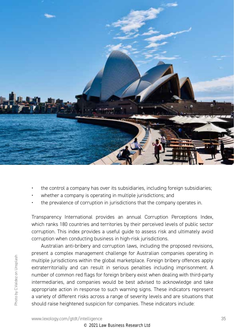

- the control a company has over its subsidiaries, including foreign subsidiaries;
- whether a company is operating in multiple jurisdictions; and
- the prevalence of corruption in jurisdictions that the company operates in.

Transparency International provides an annual Corruption Perceptions Index, which ranks 180 countries and territories by their perceived levels of public sector corruption. This index provides a useful guide to assess risk and ultimately avoid corruption when conducting business in high-risk jurisdictions.

Australian anti-bribery and corruption laws, including the proposed revisions, present a complex management challenge for Australian companies operating in multiple jurisdictions within the global marketplace. Foreign bribery offences apply extraterritorially and can result in serious penalties including imprisonment. A number of common red flags for foreign bribery exist when dealing with third-party intermediaries, and companies would be best advised to acknowledge and take appropriate action in response to such warning signs. These indicators represent a variety of different risks across a range of severity levels and are situations that should raise heightened suspicion for companies. These indicators include: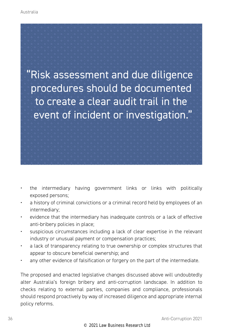

- the intermediary having government links or links with politically exposed persons;
- a history of criminal convictions or a criminal record held by employees of an intermediary;
- evidence that the intermediary has inadequate controls or a lack of effective anti-bribery policies in place;
- suspicious circumstances including a lack of clear expertise in the relevant industry or unusual payment or compensation practices;
- a lack of transparency relating to true ownership or complex structures that appear to obscure beneficial ownership; and
- any other evidence of falsification or forgery on the part of the intermediate.

The proposed and enacted legislative changes discussed above will undoubtedly alter Australia's foreign bribery and anti-corruption landscape. In addition to checks relating to external parties, companies and compliance, professionals should respond proactively by way of increased diligence and appropriate internal policy reforms.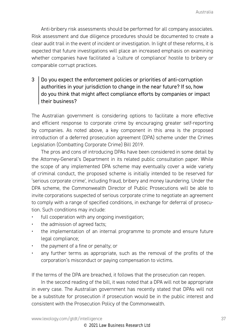Anti-bribery risk assessments should be performed for all company associates. Risk assessment and due diligence procedures should be documented to create a clear audit trail in the event of incident or investigation. In light of these reforms, it is expected that future investigations will place an increased emphasis on examining whether companies have facilitated a 'culture of compliance' hostile to bribery or comparable corrupt practices.

 $3$  Do you expect the enforcement policies or priorities of anti-corruption authorities in your jurisdiction to change in the near future? If so, how do you think that might affect compliance efforts by companies or impact their business?

The Australian government is considering options to facilitate a more effective and efficient response to corporate crime by encouraging greater self-reporting by companies. As noted above, a key component in this area is the proposed introduction of a deferred prosecution agreement (DPA) scheme under the Crimes Legislation (Combatting Corporate Crime) Bill 2019.

The pros and cons of introducing DPAs have been considered in some detail by the Attorney-General's Department in its related public consultation paper. While the scope of any implemented DPA scheme may eventually cover a wide variety of criminal conduct, the proposed scheme is initially intended to be reserved for 'serious corporate crime', including fraud, bribery and money laundering. Under the DPA scheme, the Commonwealth Director of Public Prosecutions will be able to invite corporations suspected of serious corporate crime to negotiate an agreement to comply with a range of specified conditions, in exchange for deferral of prosecution. Such conditions may include:

- full cooperation with any ongoing investigation;
- the admission of agreed facts;
- the implementation of an internal programme to promote and ensure future legal compliance;
- the payment of a fine or penalty; or
- any further terms as appropriate, such as the removal of the profits of the corporation's misconduct or paying compensation to victims.

If the terms of the DPA are breached, it follows that the prosecution can reopen.

In the second reading of the bill, it was noted that a DPA will not be appropriate in every case. The Australian government has recently stated that DPAs will not be a substitute for prosecution if prosecution would be in the public interest and consistent with the Prosecution Policy of the Commonwealth.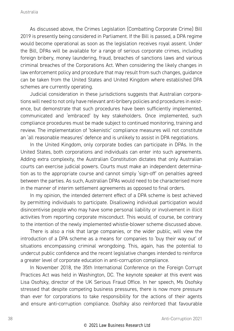As discussed above, the Crimes Legislation (Combatting Corporate Crime) Bill 2019 is presently being considered in Parliament. If the Bill is passed, a DPA regime would become operational as soon as the legislation receives royal assent. Under the Bill, DPAs will be available for a range of serious corporate crimes, including foreign bribery, money laundering, fraud, breaches of sanctions laws and various criminal breaches of the Corporations Act. When considering the likely changes in law enforcement policy and procedure that may result from such changes, guidance can be taken from the United States and United Kingdom where established DPA schemes are currently operating.

Judicial consideration in these jurisdictions suggests that Australian corporations will need to not only have relevant anti-bribery policies and procedures in existence, but demonstrate that such procedures have been sufficiently implemented, communicated and 'embraced' by key stakeholders. Once implemented, such compliance procedures must be made subject to continued monitoring, training and review. The implementation of 'tokenistic' compliance measures will not constitute an 'all reasonable measures' defence and is unlikely to assist in DPA negotiations.

In the United Kingdom, only corporate bodies can participate in DPAs. In the United States, both corporations and individuals can enter into such agreements. Adding extra complexity, the Australian Constitution dictates that only Australian courts can exercise judicial powers. Courts must make an independent determination as to the appropriate course and cannot simply 'sign-off' on penalties agreed between the parties. As such, Australian DPAs would need to be characterised more in the manner of interim settlement agreements as opposed to final orders.

In my opinion, the intended deterrent effect of a DPA scheme is best achieved by permitting individuals to participate. Disallowing individual participation would disincentivise people who may have some personal liability or involvement in illicit activities from reporting corporate misconduct. This would, of course, be contrary to the intention of the newly implemented whistle-blower scheme discussed above.

There is also a risk that large companies, or the wider public, will view the introduction of a DPA scheme as a means for companies to 'buy their way out' of situations encompassing criminal wrongdoing. This, again, has the potential to undercut public confidence and the recent legislative changes intended to reinforce a greater level of corporate education in anti-corruption compliance.

In November 2018, the 35th International Conference on the Foreign Corrupt Practices Act was held in Washington, DC. The keynote speaker at this event was Lisa Osofsky, director of the UK Serious Fraud Office. In her speech, Ms Osofsky stressed that despite competing business pressures, there is now more pressure than ever for corporations to take responsibility for the actions of their agents and ensure anti-corruption compliance. Osofsky also reinforced that favourable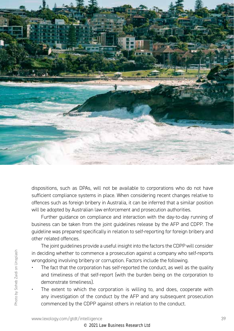

dispositions, such as DPAs, will not be available to corporations who do not have sufficient compliance systems in place. When considering recent changes relative to offences such as foreign bribery in Australia, it can be inferred that a similar position will be adopted by Australian law enforcement and prosecution authorities.

Further guidance on compliance and interaction with the day-to-day running of business can be taken from the joint guidelines release by the AFP and CDPP. The guideline was prepared specifically in relation to self-reporting for foreign bribery and other related offences.

The joint guidelines provide a useful insight into the factors the CDPP will consider in deciding whether to commence a prosecution against a company who self-reports wrongdoing involving bribery or corruption. Factors include the following.

- The fact that the corporation has self-reported the conduct, as well as the quality and timeliness of that self-report (with the burden being on the corporation to demonstrate timeliness).
- The extent to which the corporation is willing to, and does, cooperate with any investigation of the conduct by the AFP and any subsequent prosecution commenced by the CDPP against others in relation to the conduct.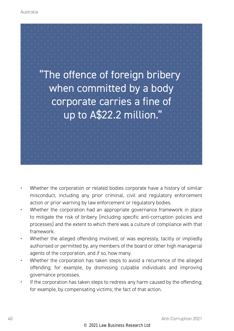

- Whether the corporation or related bodies corporate have a history of similar misconduct, including any prior criminal, civil and regulatory enforcement action or prior warning by law enforcement or regulatory bodies.
- Whether the corporation had an appropriate governance framework in place to mitigate the risk of bribery (including specific anti-corruption policies and processes) and the extent to which there was a culture of compliance with that framework.
- Whether the alleged offending involved, or was expressly, tacitly or impliedly authorised or permitted by, any members of the board or other high managerial agents of the corporation, and if so, how many.
- Whether the corporation has taken steps to avoid a recurrence of the alleged offending; for example, by dismissing culpable individuals and improving governance processes.
- If the corporation has taken steps to redress any harm caused by the offending; for example, by compensating victims; the fact of that action.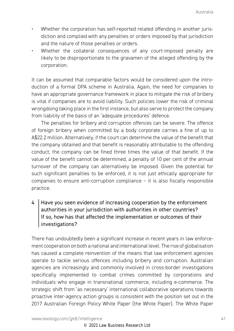- Whether the corporation has self-reported related offending in another jurisdiction and complied with any penalties or orders imposed by that jurisdiction and the nature of those penalties or orders.
- Whether the collateral consequences of any court-imposed penalty are likely to be disproportionate to the gravamen of the alleged offending by the corporation.

It can be assumed that comparable factors would be considered upon the introduction of a formal DPA scheme in Australia. Again, the need for companies to have an appropriate governance framework in place to mitigate the risk of bribery is vital if companies are to avoid liability. Such policies lower the risk of criminal wrongdoing taking place in the first instance, but also serve to protect the company from liability of the basis of an 'adequate procedures' defence.

The penalties for bribery and corruption offences can be severe. The offence of foreign bribery when committed by a body corporate carries a fine of up to A\$22.2 million. Alternatively, if the court can determine the value of the benefit that the company obtained and that benefit is reasonably attributable to the offending conduct, the company can be fined three times the value of that benefit. If the value of the benefit cannot be determined, a penalty of 10 per cent of the annual turnover of the company can alternatively be imposed. Given the potential for such significant penalties to be enforced, it is not just ethically appropriate for companies to ensure anti-corruption compliance – it is also fiscally responsible practice.

 $4$  Have you seen evidence of increasing cooperation by the enforcement authorities in your jurisdiction with authorities in other countries? If so, how has that affected the implementation or outcomes of their investigations?

There has undoubtedly been a significant increase in recent years in law enforcement cooperation on both a national and international level. The rise of globalisation has caused a complete reinvention of the means that law enforcement agencies operate to tackle serious offences including bribery and corruption. Australian agencies are increasingly and commonly involved in cross-border investigations specifically implemented to combat crimes committed by corporations and individuals who engage in transnational commerce, including e-commerce. The strategic shift from 'as necessary' international collaborative operations towards proactive inter-agency action groups is consistent with the position set out in the 2017 Australian Foreign Policy White Paper (the White Paper). The White Paper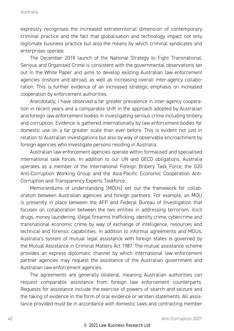expressly recognises the increased extraterritorial dimension of contemporary criminal practice and the fact that globalisation and technology impact not only legitimate business practice but also the means by which criminal syndicates and enterprises operate.

The December 2018 launch of the National Strategy to Fight Transnational, Serious and Organised Crime is consistent with the governmental observations set out in the White Paper and aims to develop existing Australian law enforcement agencies onshore and abroad, as well as increasing overall inter-agency collaboration. This is further evidence of an increased strategic emphasis on increased cooperation by enforcement authorities.

Anecdotally, I have observed a far greater prevalence in inter-agency cooperation in recent years and a comparable shift in the approach adopted by Australian and foreign law enforcement bodies in investigating serious crime including bribery and corruption. Evidence is gathered internationally by law enforcement bodies for domestic use on a far greater scale than ever before. This is evident not just in relation to Australian investigations but also by way of observable encroachment by foreign agencies who investigate persons residing in Australia.

Australian law enforcement agencies operate within formalised and specialised international task forces. In addition to our UN and OECD obligations, Australia operates as a member of the International Foreign Bribery Task Force, the G20 Anti-Corruption Working Group and the Asia-Pacific Economic Cooperation Anti-Corruption and Transparency Experts Taskforce.

Memorandums of understanding (MOUs) set out the framework for collaboration between Australian agencies and foreign partners. For example, an MOU is presently in place between the AFP and Federal Bureau of Investigation that focuses on collaboration between the two entities in addressing terrorism, illicit drugs, money laundering, illegal firearms trafficking, identity crime, cybercrime and transnational economic crime by way of exchange of intelligence, resources and technical and forensic capabilities. In addition to informal agreements and MOUs, Australia's system of mutual legal assistance with foreign states is governed by the Mutual Assistance in Criminal Matters Act 1987. The mutual assistance scheme provides an express diplomatic channel by which international law enforcement partner agencies may request the assistance of the Australian government and Australian law enforcement agencies.

The agreements are generally bilateral, meaning Australian authorities can request comparable assistance from foreign law enforcement counterparts. Requests for assistance include the exercise of powers of search and seizure and the taking of evidence in the form of oral evidence or written statements. All assistance provided must be in accordance with domestic laws and contracting member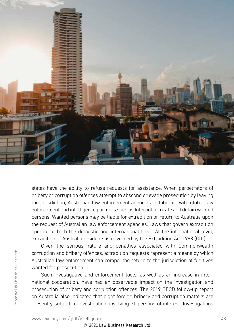

states have the ability to refuse requests for assistance. When perpetrators of bribery or corruption offences attempt to abscond or evade prosecution by leaving the jurisdiction, Australian law enforcement agencies collaborate with global law enforcement and intelligence partners such as Interpol to locate and detain wanted persons. Wanted persons may be liable for extradition or return to Australia upon the request of Australian law enforcement agencies. Laws that govern extradition operate at both the domestic and international level. At the international level, extradition of Australia residents is governed by the Extradition Act 1988 (Cth).

Given the serious nature and penalties associated with Commonwealth corruption and bribery offences, extradition requests represent a means by which Australian law enforcement can compel the return to the jurisdiction of fugitives wanted for prosecution.

Such investigative and enforcement tools, as well as an increase in international cooperation, have had an observable impact on the investigation and prosecution of bribery and corruption offences. The 2019 OECD follow-up report on Australia also indicated that eight foreign bribery and corruption matters are presently subject to investigation, involving 31 persons of interest. Investigations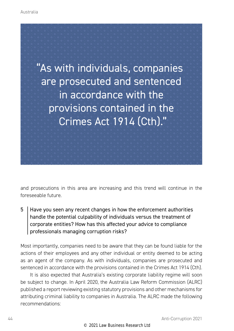

and prosecutions in this area are increasing and this trend will continue in the foreseeable future.

5 Have you seen any recent changes in how the enforcement authorities handle the potential culpability of individuals versus the treatment of corporate entities? How has this affected your advice to compliance professionals managing corruption risks?

Most importantly, companies need to be aware that they can be found liable for the actions of their employees and any other individual or entity deemed to be acting as an agent of the company. As with individuals, companies are prosecuted and sentenced in accordance with the provisions contained in the Crimes Act 1914 (Cth).

It is also expected that Australia's existing corporate liability regime will soon be subject to change. In April 2020, the Australia Law Reform Commission (ALRC) published a report reviewing existing statutory provisions and other mechanisms for attributing criminal liability to companies in Australia. The ALRC made the following recommendations: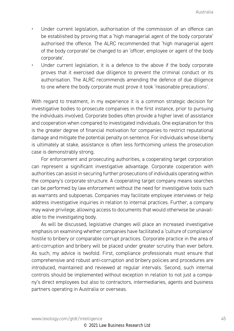- Under current legislation, authorisation of the commission of an offence can be established by proving that a 'high managerial agent of the body corporate' authorised the offence. The ALRC recommended that 'high managerial agent of the body corporate' be changed to an 'officer, employee or agent of the body corporate'.
- Under current legislation, it is a defence to the above if the body corporate proves that it exercised due diligence to prevent the criminal conduct or its authorisation. The ALRC recommends amending the defence of due diligence to one where the body corporate must prove it took 'reasonable precautions'.

With regard to treatment, in my experience it is a common strategic decision for investigative bodies to prosecute companies in the first instance, prior to pursuing the individuals involved. Corporate bodies often provide a higher level of assistance and cooperation when compared to investigated individuals. One explanation for this is the greater degree of financial motivation for companies to restrict reputational damage and mitigate the potential penalty on sentence. For individuals whose liberty is ultimately at stake, assistance is often less forthcoming unless the prosecution case is demonstrably strong.

For enforcement and prosecuting authorities, a cooperating target corporation can represent a significant investigative advantage. Corporate cooperation with authorities can assist in securing further prosecutions of individuals operating within the company's corporate structure. A cooperating target company means searches can be performed by law enforcement without the need for investigative tools such as warrants and subpoenas. Companies may facilitate employee interviews or help address investigative inquiries in relation to internal practices. Further, a company may waive privilege, allowing access to documents that would otherwise be unavailable to the investigating body.

As will be discussed, legislative changes will place an increased investigative emphasis on examining whether companies have facilitated a 'culture of compliance' hostile to bribery or comparable corrupt practices. Corporate practice in the area of anti-corruption and bribery will be placed under greater scrutiny than ever before. As such, my advice is twofold. First, compliance professionals must ensure that comprehensive and robust anti-corruption and bribery policies and procedures are introduced, maintained and reviewed at regular intervals. Second, such internal controls should be implemented without exception in relation to not just a company's direct employees but also to contractors, intermediaries, agents and business partners operating in Australia or overseas.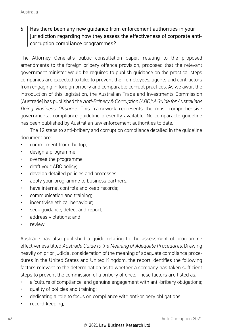#### $6$  Has there been any new quidance from enforcement authorities in your jurisdiction regarding how they assess the effectiveness of corporate anticorruption compliance programmes?

The Attorney General's public consultation paper, relating to the proposed amendments to the foreign bribery offence provision, proposed that the relevant government minister would be required to publish guidance on the practical steps companies are expected to take to prevent their employees, agents and contractors from engaging in foreign bribery and comparable corrupt practices. As we await the introduction of this legislation, the Australian Trade and Investments Commission (Austrade) has published the *Anti-Bribery & Corruption (ABC): A Guide for Australians Doing Business Offshore*. This framework represents the most comprehensive governmental compliance guideline presently available. No comparable guideline has been published by Australian law enforcement authorities to date.

The 12 steps to anti-bribery and corruption compliance detailed in the guideline document are:

- commitment from the top;
- design a programme;
- oversee the programme;
- draft your ABC policy:
- develop detailed policies and processes;
- apply your programme to business partners;
- have internal controls and keep records:
- communication and training;
- incentivise ethical behaviour:
- seek quidance, detect and report;
- address violations; and
- review.

Austrade has also published a guide relating to the assessment of programme effectiveness titled *Austrade Guide to the Meaning of Adequate Procedures*. Drawing heavily on prior judicial consideration of the meaning of adequate compliance procedures in the United States and United Kingdom, the report identifies the following factors relevant to the determination as to whether a company has taken sufficient steps to prevent the commission of a bribery offence. These factors are listed as:

- a 'culture of compliance' and genuine engagement with anti-bribery obligations;
- quality of policies and training;
- dedicating a role to focus on compliance with anti-bribery obligations;
- record-keeping;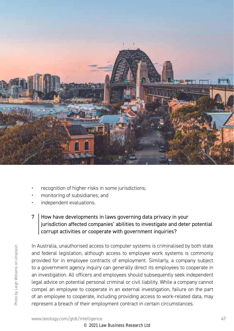

- recognition of higher risks in some jurisdictions;
- monitoring of subsidiaries; and
- independent evaluations.
- $7$  How have developments in laws governing data privacy in your jurisdiction affected companies' abilities to investigate and deter potential corrupt activities or cooperate with government inquiries?

In Australia, unauthorised access to computer systems is criminalised by both state and federal legislation, although access to employee work systems is commonly provided for in employee contracts of employment. Similarly, a company subject to a government agency inquiry can generally direct its employees to cooperate in an investigation. All officers and employees should subsequently seek independent legal advice on potential personal criminal or civil liability. While a company cannot compel an employee to cooperate in an external investigation, failure on the part of an employee to cooperate, including providing access to work-related data, may represent a breach of their employment contract in certain circumstances.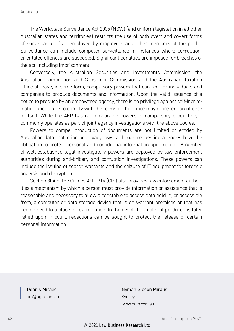Australia

The Workplace Surveillance Act 2005 (NSW) (and uniform legislation in all other Australian states and territories) restricts the use of both overt and covert forms of surveillance of an employee by employers and other members of the public. Surveillance can include computer surveillance in instances where corruptionorientated offences are suspected. Significant penalties are imposed for breaches of the act, including imprisonment.

Conversely, the Australian Securities and Investments Commission, the Australian Competition and Consumer Commission and the Australian Taxation Office all have, in some form, compulsory powers that can require individuals and companies to produce documents and information. Upon the valid issuance of a notice to produce by an empowered agency, there is no privilege against self-incrimination and failure to comply with the terms of the notice may represent an offence in itself. While the AFP has no comparable powers of compulsory production, it commonly operates as part of joint-agency investigations with the above bodies.

Powers to compel production of documents are not limited or eroded by Australian data protection or privacy laws, although requesting agencies have the obligation to protect personal and confidential information upon receipt. A number of well-established legal investigatory powers are deployed by law enforcement authorities during anti-bribery and corruption investigations. These powers can include the issuing of search warrants and the seizure of IT equipment for forensic analysis and decryption.

Section 3LA of the Crimes Act 1914 (Cth) also provides law enforcement authorities a mechanism by which a person must provide information or assistance that is reasonable and necessary to allow a constable to access data held in, or accessible from, a computer or data storage device that is on warrant premises or that has been moved to a place for examination. In the event that material produced is later relied upon in court, redactions can be sought to protect the release of certain personal information.

Dennis Miralis dm@ngm.com.au Nyman Gibson Miralis Sydney www.ngm.com.au

48 Anti-Corruption 2021

© 2021 Law Business Research Ltd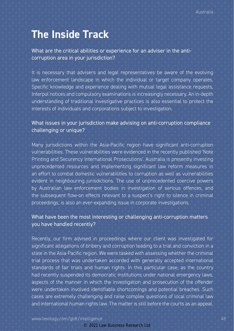### **The Inside Track**

What are the critical abilities or experience for an adviser in the anticorruption area in your jurisdiction?

It is necessary that advisers and legal representatives be aware of the evolving law enforcement landscape in which the individual or target company operates. Specific knowledge and experience dealing with mutual legal assistance requests, Interpol notices and compulsory examinations is increasingly necessary. An in-depth understanding of traditional investigative practices is also essential to protect the interests of individuals and corporations subject to investigation.

#### What issues in your jurisdiction make advising on anti-corruption compliance challenging or unique?

Many jurisdictions within the Asia-Pacific region have significant anti-corruption vulnerabilities. These vulnerabilities were evidenced in the recently published 'Note Printing and Securency International Prosecutions'. Australia is presently investing unprecedented resources and implementing significant law reform measures in an effort to combat domestic vulnerabilities to corruption as well as vulnerabilities evident in neighbouring jurisdictions. The use of unprecedented coercive powers by Australian law enforcement bodies in investigation of serious offences, and the subsequent flow-on effects relevant to a suspect's right to silence in criminal proceedings, is also an ever-expanding issue in corporate investigations.

#### What have been the most interesting or challenging anti-corruption matters you have handled recently?

Recently, our firm advised in proceedings where our client was investigated for significant allegations of bribery and corruption leading to a trial and conviction in a state in the Asia-Pacific region. We were tasked with assessing whether the criminal trial process that was undertaken accorded with generally accepted international standards of fair trials and human rights. In this particular case, as the country had recently suspended its democratic institutions under national emergency laws, aspects of the manner in which the investigation and prosecution of the offender were undertaken involved identifiable shortcomings and potential breaches. Such cases are extremely challenging and raise complex questions of local criminal law and international human rights law. The matter is still before the courts as an appeal.